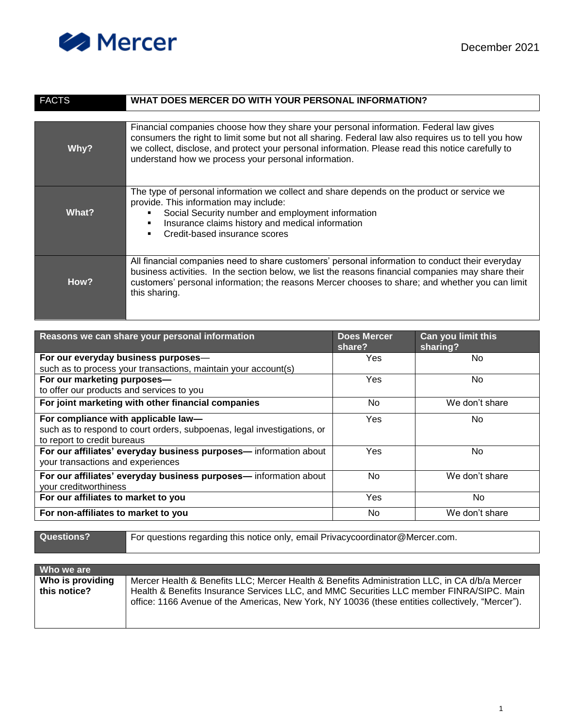

| <b>FACTS</b> | WHAT DOES MERCER DO WITH YOUR PERSONAL INFORMATION?                                                                                                                                                                                                                                                                                                        |
|--------------|------------------------------------------------------------------------------------------------------------------------------------------------------------------------------------------------------------------------------------------------------------------------------------------------------------------------------------------------------------|
|              |                                                                                                                                                                                                                                                                                                                                                            |
| Why?         | Financial companies choose how they share your personal information. Federal law gives<br>consumers the right to limit some but not all sharing. Federal law also requires us to tell you how<br>we collect, disclose, and protect your personal information. Please read this notice carefully to<br>understand how we process your personal information. |
| What?        | The type of personal information we collect and share depends on the product or service we<br>provide. This information may include:<br>Social Security number and employment information<br>Insurance claims history and medical information<br>Credit-based insurance scores                                                                             |
| How?         | All financial companies need to share customers' personal information to conduct their everyday<br>business activities. In the section below, we list the reasons financial companies may share their<br>customers' personal information; the reasons Mercer chooses to share; and whether you can limit<br>this sharing.                                  |

| Reasons we can share your personal information                          | <b>Does Mercer</b><br>share? | Can you limit this<br>sharing? |
|-------------------------------------------------------------------------|------------------------------|--------------------------------|
| For our everyday business purposes-                                     | <b>Yes</b>                   | No.                            |
| such as to process your transactions, maintain your account(s)          |                              |                                |
| For our marketing purposes-                                             | Yes                          | No.                            |
| to offer our products and services to you                               |                              |                                |
| For joint marketing with other financial companies                      | No.                          | We don't share                 |
| For compliance with applicable law-                                     | Yes                          | No.                            |
| such as to respond to court orders, subpoenas, legal investigations, or |                              |                                |
| to report to credit bureaus                                             |                              |                                |
| For our affiliates' everyday business purposes-information about        | <b>Yes</b>                   | No.                            |
| your transactions and experiences                                       |                              |                                |
| For our affiliates' everyday business purposes-information about        | No.                          | We don't share                 |
| your creditworthiness                                                   |                              |                                |
| For our affiliates to market to you                                     | <b>Yes</b>                   | No.                            |
| For non-affiliates to market to you                                     | No.                          | We don't share                 |
|                                                                         |                              |                                |

Questions? For questions regarding this notice only, email Privacycoordinator@Mercer.com.

| Who we are                       |                                                                                                                                                                                                                                                                                               |
|----------------------------------|-----------------------------------------------------------------------------------------------------------------------------------------------------------------------------------------------------------------------------------------------------------------------------------------------|
| Who is providing<br>this notice? | Mercer Health & Benefits LLC; Mercer Health & Benefits Administration LLC, in CA d/b/a Mercer<br>Health & Benefits Insurance Services LLC, and MMC Securities LLC member FINRA/SIPC. Main<br>office: 1166 Avenue of the Americas, New York, NY 10036 (these entities collectively, "Mercer"). |